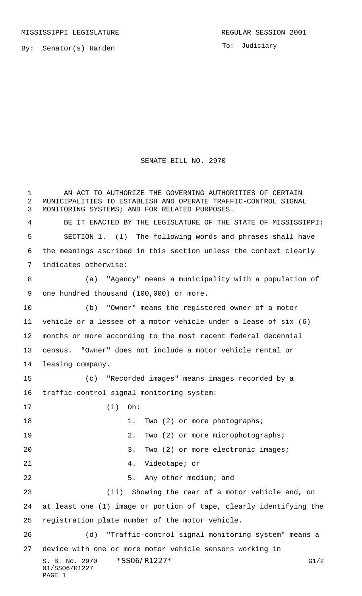To: Judiciary

## SENATE BILL NO. 2970

S. B. No. 2970 \* SSO6/R1227\* G1/2 01/SS06/R1227 PAGE 1 AN ACT TO AUTHORIZE THE GOVERNING AUTHORITIES OF CERTAIN MUNICIPALITIES TO ESTABLISH AND OPERATE TRAFFIC-CONTROL SIGNAL MONITORING SYSTEMS; AND FOR RELATED PURPOSES. BE IT ENACTED BY THE LEGISLATURE OF THE STATE OF MISSISSIPPI: SECTION 1. (1) The following words and phrases shall have the meanings ascribed in this section unless the context clearly indicates otherwise: (a) "Agency" means a municipality with a population of one hundred thousand (100,000) or more. (b) "Owner" means the registered owner of a motor vehicle or a lessee of a motor vehicle under a lease of six (6) months or more according to the most recent federal decennial census. "Owner" does not include a motor vehicle rental or leasing company. (c) "Recorded images" means images recorded by a traffic-control signal monitoring system: (i) On: 18 1. Two (2) or more photographs; 19 2. Two (2) or more microphotographs; 20 3. Two (2) or more electronic images; 4. Videotape; or 5. Any other medium; and (ii) Showing the rear of a motor vehicle and, on at least one (1) image or portion of tape, clearly identifying the registration plate number of the motor vehicle. (d) "Traffic-control signal monitoring system" means a device with one or more motor vehicle sensors working in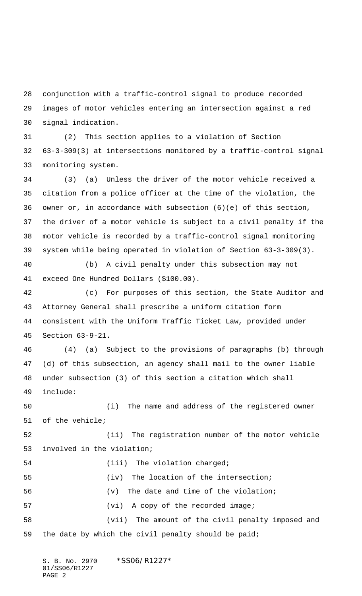conjunction with a traffic-control signal to produce recorded images of motor vehicles entering an intersection against a red signal indication.

 (2) This section applies to a violation of Section 63-3-309(3) at intersections monitored by a traffic-control signal monitoring system.

 (3) (a) Unless the driver of the motor vehicle received a citation from a police officer at the time of the violation, the owner or, in accordance with subsection (6)(e) of this section, the driver of a motor vehicle is subject to a civil penalty if the motor vehicle is recorded by a traffic-control signal monitoring system while being operated in violation of Section 63-3-309(3).

 (b) A civil penalty under this subsection may not exceed One Hundred Dollars (\$100.00).

 (c) For purposes of this section, the State Auditor and Attorney General shall prescribe a uniform citation form consistent with the Uniform Traffic Ticket Law, provided under Section 63-9-21.

 (4) (a) Subject to the provisions of paragraphs (b) through (d) of this subsection, an agency shall mail to the owner liable under subsection (3) of this section a citation which shall include:

 (i) The name and address of the registered owner of the vehicle;

 (ii) The registration number of the motor vehicle involved in the violation;

 (iv) The location of the intersection; (v) The date and time of the violation; 57 (vi) A copy of the recorded image; (vii) The amount of the civil penalty imposed and the date by which the civil penalty should be paid;

S. B. No. 2970 \*SS06/R1227\* 01/SS06/R1227 PAGE 2

54 (iii) The violation charged;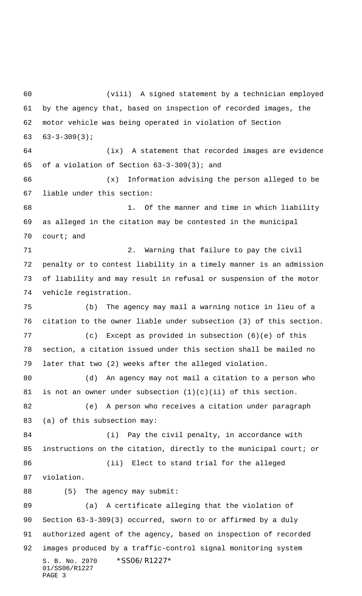S. B. No. 2970 \*SS06/R1227\* 01/SS06/R1227 (viii) A signed statement by a technician employed by the agency that, based on inspection of recorded images, the motor vehicle was being operated in violation of Section 63-3-309(3); (ix) A statement that recorded images are evidence of a violation of Section 63-3-309(3); and (x) Information advising the person alleged to be liable under this section: 1. Of the manner and time in which liability as alleged in the citation may be contested in the municipal court; and 2. Warning that failure to pay the civil penalty or to contest liability in a timely manner is an admission of liability and may result in refusal or suspension of the motor vehicle registration. (b) The agency may mail a warning notice in lieu of a citation to the owner liable under subsection (3) of this section. (c) Except as provided in subsection (6)(e) of this section, a citation issued under this section shall be mailed no later that two (2) weeks after the alleged violation. (d) An agency may not mail a citation to a person who 81 is not an owner under subsection  $(1)(c)(ii)$  of this section. (e) A person who receives a citation under paragraph 83 (a) of this subsection may: (i) Pay the civil penalty, in accordance with instructions on the citation, directly to the municipal court; or (ii) Elect to stand trial for the alleged violation. 88 (5) The agency may submit: (a) A certificate alleging that the violation of Section 63-3-309(3) occurred, sworn to or affirmed by a duly authorized agent of the agency, based on inspection of recorded images produced by a traffic-control signal monitoring system

PAGE 3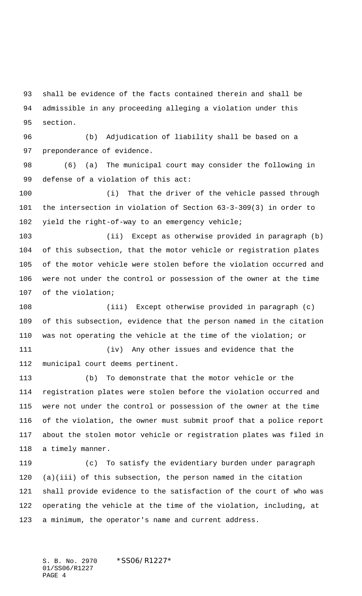shall be evidence of the facts contained therein and shall be admissible in any proceeding alleging a violation under this section.

 (b) Adjudication of liability shall be based on a preponderance of evidence.

 (6) (a) The municipal court may consider the following in defense of a violation of this act:

 (i) That the driver of the vehicle passed through the intersection in violation of Section 63-3-309(3) in order to yield the right-of-way to an emergency vehicle;

 (ii) Except as otherwise provided in paragraph (b) of this subsection, that the motor vehicle or registration plates of the motor vehicle were stolen before the violation occurred and were not under the control or possession of the owner at the time of the violation;

 (iii) Except otherwise provided in paragraph (c) of this subsection, evidence that the person named in the citation was not operating the vehicle at the time of the violation; or

 (iv) Any other issues and evidence that the municipal court deems pertinent.

 (b) To demonstrate that the motor vehicle or the registration plates were stolen before the violation occurred and were not under the control or possession of the owner at the time of the violation, the owner must submit proof that a police report about the stolen motor vehicle or registration plates was filed in a timely manner.

 (c) To satisfy the evidentiary burden under paragraph (a)(iii) of this subsection, the person named in the citation shall provide evidence to the satisfaction of the court of who was operating the vehicle at the time of the violation, including, at a minimum, the operator's name and current address.

S. B. No. 2970 \* SS06/R1227\* 01/SS06/R1227 PAGE 4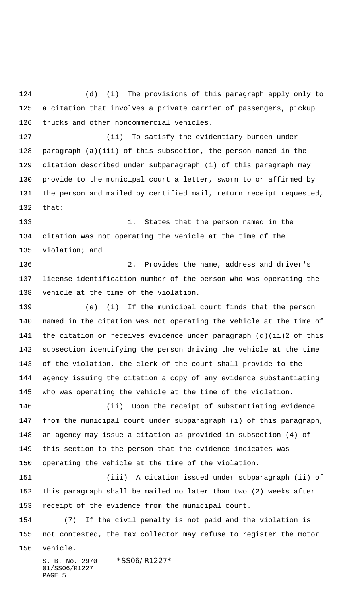(d) (i) The provisions of this paragraph apply only to a citation that involves a private carrier of passengers, pickup trucks and other noncommercial vehicles. (ii) To satisfy the evidentiary burden under paragraph (a)(iii) of this subsection, the person named in the citation described under subparagraph (i) of this paragraph may provide to the municipal court a letter, sworn to or affirmed by the person and mailed by certified mail, return receipt requested, that: 1. States that the person named in the citation was not operating the vehicle at the time of the violation; and 2. Provides the name, address and driver's license identification number of the person who was operating the vehicle at the time of the violation. (e) (i) If the municipal court finds that the person named in the citation was not operating the vehicle at the time of the citation or receives evidence under paragraph (d)(ii)2 of this subsection identifying the person driving the vehicle at the time of the violation, the clerk of the court shall provide to the agency issuing the citation a copy of any evidence substantiating who was operating the vehicle at the time of the violation. (ii) Upon the receipt of substantiating evidence from the municipal court under subparagraph (i) of this paragraph, an agency may issue a citation as provided in subsection (4) of this section to the person that the evidence indicates was operating the vehicle at the time of the violation. (iii) A citation issued under subparagraph (ii) of this paragraph shall be mailed no later than two (2) weeks after

receipt of the evidence from the municipal court.

 (7) If the civil penalty is not paid and the violation is not contested, the tax collector may refuse to register the motor vehicle.

S. B. No. 2970 \* SS06/R1227\* 01/SS06/R1227 PAGE 5